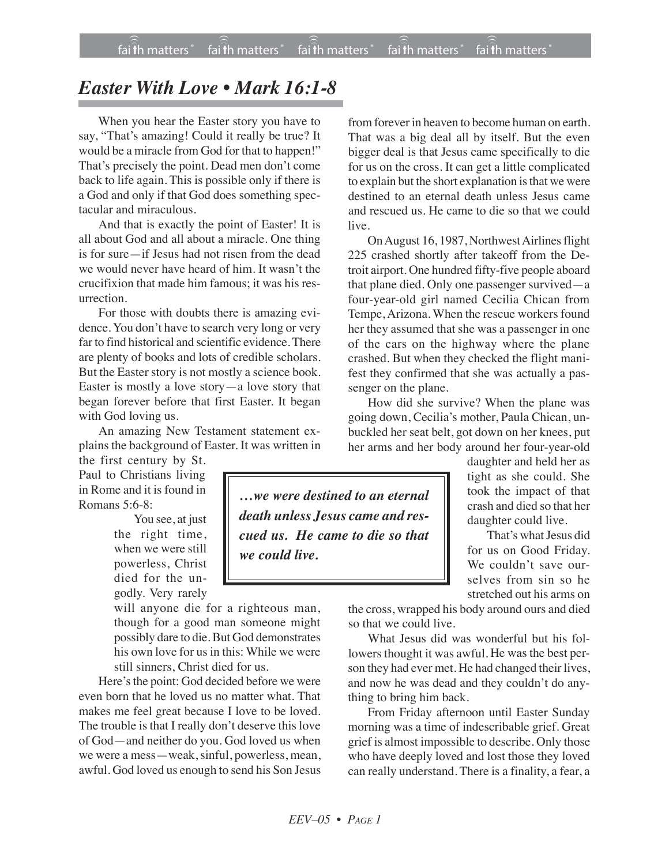## *Easter With Love • Mark 16:1-8*

When you hear the Easter story you have to say, "That's amazing! Could it really be true? It would be a miracle from God for that to happen!" That's precisely the point. Dead men don't come back to life again. This is possible only if there is a God and only if that God does something spectacular and miraculous.

And that is exactly the point of Easter! It is all about God and all about a miracle. One thing is for sure—if Jesus had not risen from the dead we would never have heard of him. It wasn't the crucifixion that made him famous; it was his resurrection.

For those with doubts there is amazing evidence. You don't have to search very long or very far to find historical and scientific evidence.There are plenty of books and lots of credible scholars. But the Easter story is not mostly a science book. Easter is mostly a love story—a love story that began forever before that first Easter. It began with God loving us.

An amazing New Testament statement explains the background of Easter. It was written in

the first century by St. Paul to Christians living in Rome and it is found in Romans 5:6-8:

> You see, at just the right time, when we were still powerless, Christ died for the ungodly. Very rarely

will anyone die for a righteous man, though for a good man someone might possibly dare to die. But God demonstrates his own love for us in this: While we were still sinners, Christ died for us.

Here's the point: God decided before we were even born that he loved us no matter what. That makes me feel great because I love to be loved. The trouble is that I really don't deserve this love of God—and neither do you. God loved us when we were a mess—weak, sinful, powerless, mean, awful. God loved us enough to send his Son Jesus

from forever in heaven to become human on earth. That was a big deal all by itself. But the even bigger deal is that Jesus came specifically to die for us on the cross. It can get a little complicated to explain but the short explanation is that we were destined to an eternal death unless Jesus came and rescued us. He came to die so that we could live.

On August 16, 1987, Northwest Airlines flight 225 crashed shortly after takeoff from the Detroit airport. One hundred fifty-five people aboard that plane died. Only one passenger survived—a four-year-old girl named Cecilia Chican from Tempe, Arizona. When the rescue workers found her they assumed that she was a passenger in one of the cars on the highway where the plane crashed. But when they checked the flight manifest they confirmed that she was actually a passenger on the plane.

How did she survive? When the plane was going down, Cecilia's mother, Paula Chican, unbuckled her seat belt, got down on her knees, put her arms and her body around her four-year-old

daughter and held her as tight as she could. She took the impact of that crash and died so that her daughter could live.

That's what Jesus did for us on Good Friday. We couldn't save ourselves from sin so he stretched out his arms on

the cross, wrapped his body around ours and died

so that we could live.

What Jesus did was wonderful but his followers thought it was awful. He was the best person they had ever met. He had changed their lives, and now he was dead and they couldn't do anything to bring him back.

From Friday afternoon until Easter Sunday morning was a time of indescribable grief. Great grief is almost impossible to describe. Only those who have deeply loved and lost those they loved can really understand. There is a finality, a fear, a

*…we were destined to an eternal death unless Jesus came and rescued us. He came to die so that we could live.*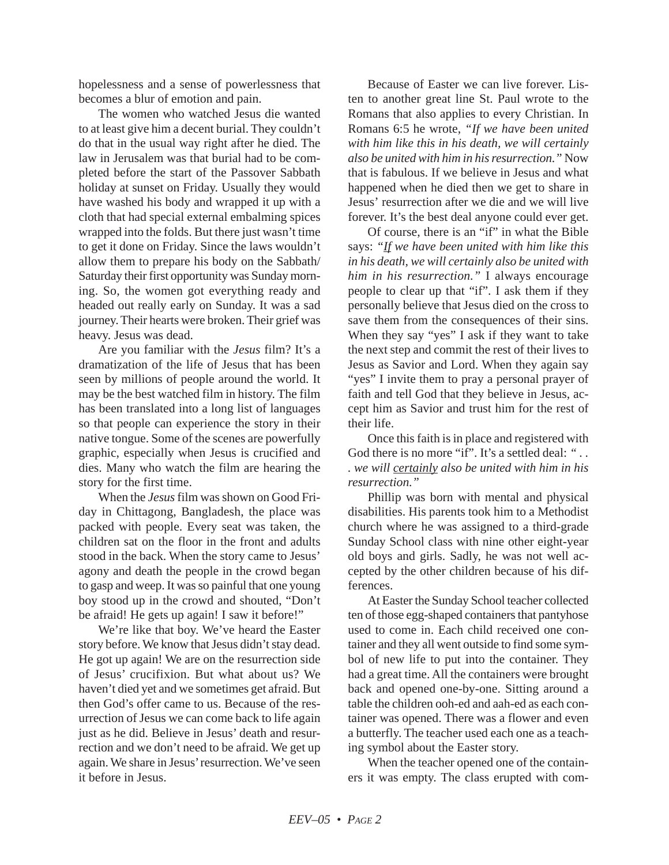hopelessness and a sense of powerlessness that becomes a blur of emotion and pain.

The women who watched Jesus die wanted to at least give him a decent burial. They couldn't do that in the usual way right after he died. The law in Jerusalem was that burial had to be completed before the start of the Passover Sabbath holiday at sunset on Friday. Usually they would have washed his body and wrapped it up with a cloth that had special external embalming spices wrapped into the folds. But there just wasn't time to get it done on Friday. Since the laws wouldn't allow them to prepare his body on the Sabbath/ Saturday their first opportunity was Sunday morning. So, the women got everything ready and headed out really early on Sunday. It was a sad journey. Their hearts were broken. Their grief was heavy. Jesus was dead.

Are you familiar with the *Jesus* film? It's a dramatization of the life of Jesus that has been seen by millions of people around the world. It may be the best watched film in history. The film has been translated into a long list of languages so that people can experience the story in their native tongue. Some of the scenes are powerfully graphic, especially when Jesus is crucified and dies. Many who watch the film are hearing the story for the first time.

When the *Jesus* film was shown on Good Friday in Chittagong, Bangladesh, the place was packed with people. Every seat was taken, the children sat on the floor in the front and adults stood in the back. When the story came to Jesus' agony and death the people in the crowd began to gasp and weep. It was so painful that one young boy stood up in the crowd and shouted, "Don't be afraid! He gets up again! I saw it before!"

We're like that boy. We've heard the Easter story before. We know that Jesus didn't stay dead. He got up again! We are on the resurrection side of Jesus' crucifixion. But what about us? We haven't died yet and we sometimes get afraid. But then God's offer came to us. Because of the resurrection of Jesus we can come back to life again just as he did. Believe in Jesus' death and resurrection and we don't need to be afraid. We get up again. We share in Jesus' resurrection. We've seen it before in Jesus.

Because of Easter we can live forever. Listen to another great line St. Paul wrote to the Romans that also applies to every Christian. In Romans 6:5 he wrote, *"If we have been united with him like this in his death, we will certainly also be united with him in his resurrection."* Now that is fabulous. If we believe in Jesus and what happened when he died then we get to share in Jesus' resurrection after we die and we will live forever. It's the best deal anyone could ever get.

Of course, there is an "if" in what the Bible says: *"If we have been united with him like this in his death, we will certainly also be united with him in his resurrection."* I always encourage people to clear up that "if". I ask them if they personally believe that Jesus died on the cross to save them from the consequences of their sins. When they say "yes" I ask if they want to take the next step and commit the rest of their lives to Jesus as Savior and Lord. When they again say "yes" I invite them to pray a personal prayer of faith and tell God that they believe in Jesus, accept him as Savior and trust him for the rest of their life.

Once this faith is in place and registered with God there is no more "if". It's a settled deal: "... *. we will certainly also be united with him in his resurrection."*

Phillip was born with mental and physical disabilities. His parents took him to a Methodist church where he was assigned to a third-grade Sunday School class with nine other eight-year old boys and girls. Sadly, he was not well accepted by the other children because of his differences.

At Easter the Sunday School teacher collected ten of those egg-shaped containers that pantyhose used to come in. Each child received one container and they all went outside to find some symbol of new life to put into the container. They had a great time. All the containers were brought back and opened one-by-one. Sitting around a table the children ooh-ed and aah-ed as each container was opened. There was a flower and even a butterfly. The teacher used each one as a teaching symbol about the Easter story.

When the teacher opened one of the containers it was empty. The class erupted with com